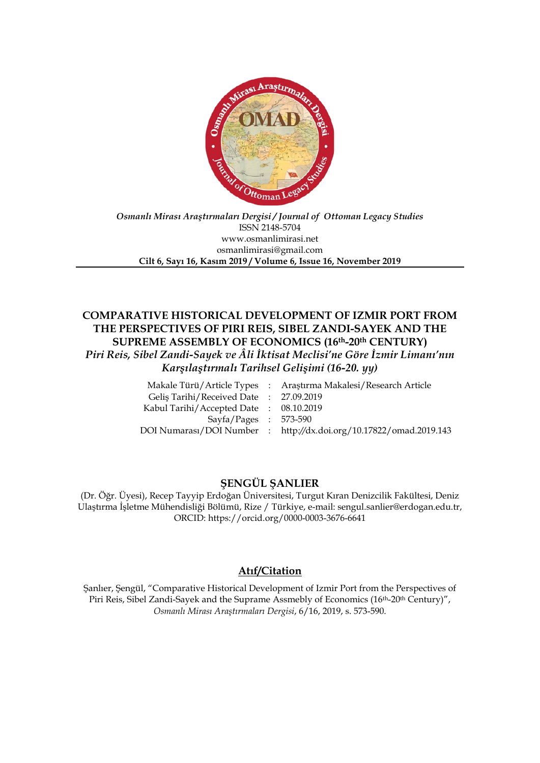

#### *Osmanlı Mirası Araştırmaları Dergisi / Journal of Ottoman Legacy Studies* ISSN 2148-5704 www.osmanlimirasi.net osmanlimirasi@gmail.com **Cilt 6, Sayı 16, Kasım 2019 / Volume 6, Issue 16, November 2019**

# **COMPARATIVE HISTORICAL DEVELOPMENT OF IZMIR PORT FROM THE PERSPECTIVES OF PIRI REIS, SIBEL ZANDI-SAYEK AND THE SUPREME ASSEMBLY OF ECONOMICS (16th-20th CENTURY)** *Piri Reis, Sibel Zandi-Sayek ve Âli İktisat Meclisi'ne Göre İzmir Limanı'nın Karşılaştırmalı Tarihsel Gelişimi (16-20. yy)*

|                                        | Makale Türü/Article Types : Araştırma Makalesi/Research Article    |
|----------------------------------------|--------------------------------------------------------------------|
| Gelis Tarihi/Received Date: 27.09.2019 |                                                                    |
| Kabul Tarihi/Accepted Date: 08.10.2019 |                                                                    |
| Sayfa/Pages : 573-590                  |                                                                    |
|                                        | DOI Numarası/DOI Number : http://dx.doi.org/10.17822/omad.2019.143 |
|                                        |                                                                    |

# **ŞENGÜL ŞANLIER**

(Dr. Öğr. Üyesi), Recep Tayyip Erdoğan Üniversitesi, Turgut Kıran Denizcilik Fakültesi, Deniz Ulaştırma İşletme Mühendisliği Bölümü, Rize / Türkiye, e-mail: sengul.sanlier@erdogan.edu.tr, ORCID: https://orcid.org/0000-0003-3676-6641

# **Atıf/Citation**

Şanlıer, Şengül, "Comparative Historical Development of Izmir Port from the Perspectives of Piri Reis, Sibel Zandi-Sayek and the Suprame Assmebly of Economics (16th-20th Century)", *Osmanlı Mirası Araştırmaları Dergisi*, 6/16, 2019, s. 573-590.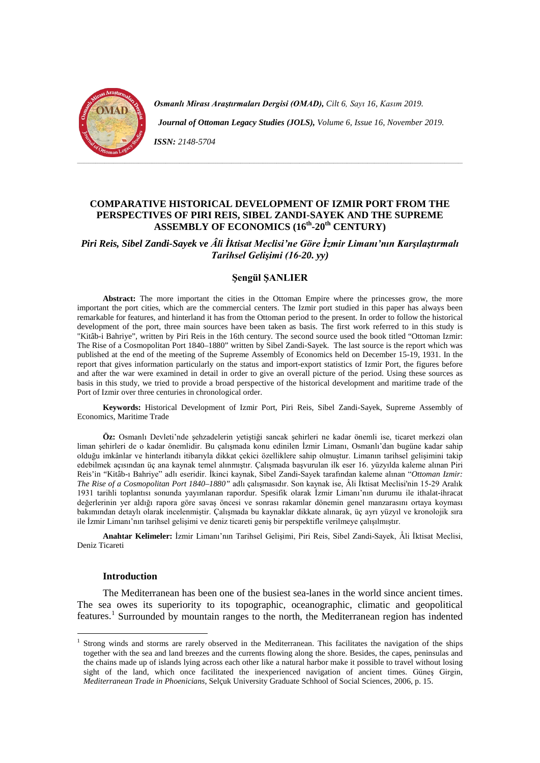

*Osmanlı Mirası Araştırmaları Dergisi (OMAD), Cilt 6, Sayı 16, Kasım 2019.* 

 *Journal of Ottoman Legacy Studies (JOLS), Volume 6, Issue 16, November 2019.* 

*ISSN: 2148-5704*

# **COMPARATIVE HISTORICAL DEVELOPMENT OF IZMIR PORT FROM THE PERSPECTIVES OF PIRI REIS, SIBEL ZANDI-SAYEK AND THE SUPREME ASSEMBLY OF ECONOMICS (16th-20th CENTURY)**

*Piri Reis, Sibel Zandi-Sayek ve Âli İktisat Meclisi'ne Göre İzmir Limanı'nın Karşılaştırmalı Tarihsel Gelişimi (16-20. yy)*

#### **Şengül ŞANLIER**

**Abstract:** The more important the cities in the Ottoman Empire where the princesses grow, the more important the port cities, which are the commercial centers. The Izmir port studied in this paper has always been remarkable for features, and hinterland it has from the Ottoman period to the present. In order to follow the historical development of the port, three main sources have been taken as basis. The first work referred to in this study is "Kitâb-i Bahriye", written by Piri Reis in the 16th century. The second source used the book titled "Ottoman Izmir: The Rise of a Cosmopolitan Port 1840–1880" written by Sibel Zandi-Sayek. The last source is the report which was published at the end of the meeting of the Supreme Assembly of Economics held on December 15-19, 1931. In the report that gives information particularly on the status and import-export statistics of Izmir Port, the figures before and after the war were examined in detail in order to give an overall picture of the period. Using these sources as basis in this study, we tried to provide a broad perspective of the historical development and maritime trade of the Port of Izmir over three centuries in chronological order.

**Keywords:** Historical Development of Izmir Port, Piri Reis, Sibel Zandi-Sayek, Supreme Assembly of Economics, Maritime Trade

**Öz:** Osmanlı Devleti'nde şehzadelerin yetiştiği sancak şehirleri ne kadar önemli ise, ticaret merkezi olan liman şehirleri de o kadar önemlidir. Bu çalışmada konu edinilen İzmir Limanı, Osmanlı'dan bugüne kadar sahip olduğu imkânlar ve hinterlandı itibarıyla dikkat çekici özelliklere sahip olmuştur. Limanın tarihsel gelişimini takip edebilmek açısından üç ana kaynak temel alınmıştır. Çalışmada başvurulan ilk eser 16. yüzyılda kaleme alınan Piri Reis'in "Kitâb-ı Bahriye" adlı eseridir. İkinci kaynak, Sibel Zandi-Sayek tarafından kaleme alınan "*Ottoman Izmir: The Rise of a Cosmopolitan Port 1840–1880"* adlı çalışmasıdır. Son kaynak ise, Âli İktisat Meclisi'nin 15-29 Aralık 1931 tarihli toplantısı sonunda yayımlanan rapordur. Spesifik olarak İzmir Limanı'nın durumu ile ithalat-ihracat değerlerinin yer aldığı rapora göre savaş öncesi ve sonrası rakamlar dönemin genel manzarasını ortaya koyması bakımından detaylı olarak incelenmiştir. Çalışmada bu kaynaklar dikkate alınarak, üç ayrı yüzyıl ve kronolojik sıra ile İzmir Limanı'nın tarihsel gelişimi ve deniz ticareti geniş bir perspektifle verilmeye çalışılmıştır.

**Anahtar Kelimeler:** İzmir Limanı'nın Tarihsel Gelişimi, Piri Reis, Sibel Zandi-Sayek, Âli İktisat Meclisi, Deniz Ticareti

#### **Introduction**

The Mediterranean has been one of the busiest sea-lanes in the world since ancient times. The sea owes its superiority to its topographic, oceanographic, climatic and geopolitical features.<sup>[1](#page-2-0)</sup> Surrounded by mountain ranges to the north, the Mediterranean region has indented

<span id="page-2-0"></span> $<sup>1</sup>$  Strong winds and storms are rarely observed in the Mediterranean. This facilitates the navigation of the ships</sup> together with the sea and land breezes and the currents flowing along the shore. Besides, the capes, peninsulas and the chains made up of islands lying across each other like a natural harbor make it possible to travel without losing sight of the land, which once facilitated the inexperienced navigation of ancient times. Güneş Girgin, *Mediterranean Trade in Phoenicians*, Selçuk University Graduate Schhool of Social Sciences, 2006, p. 15.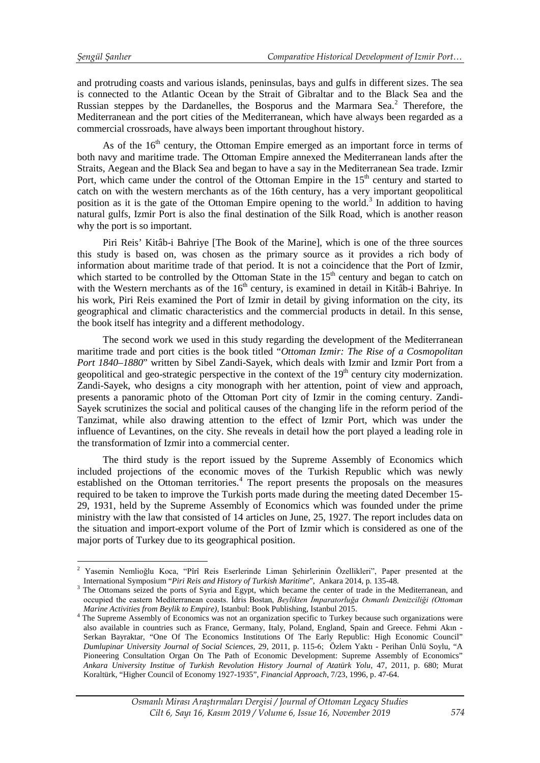<u>.</u>

and protruding coasts and various islands, peninsulas, bays and gulfs in different sizes. The sea is connected to the Atlantic Ocean by the Strait of Gibraltar and to the Black Sea and the Russian steppes by the Dardanelles, the Bosporus and the Marmara Sea.<sup>[2](#page-3-0)</sup> Therefore, the Mediterranean and the port cities of the Mediterranean, which have always been regarded as a commercial crossroads, have always been important throughout history.

As of the  $16<sup>th</sup>$  century, the Ottoman Empire emerged as an important force in terms of both navy and maritime trade. The Ottoman Empire annexed the Mediterranean lands after the Straits, Aegean and the Black Sea and began to have a say in the Mediterranean Sea trade. Izmir Port, which came under the control of the Ottoman Empire in the  $15<sup>th</sup>$  century and started to catch on with the western merchants as of the 16th century, has a very important geopolitical position as it is the gate of the Ottoman Empire opening to the world.<sup>[3](#page-3-1)</sup> In addition to having natural gulfs, Izmir Port is also the final destination of the Silk Road, which is another reason why the port is so important.

Piri Reis' Kitâb-i Bahriye [The Book of the Marine], which is one of the three sources this study is based on, was chosen as the primary source as it provides a rich body of information about maritime trade of that period. It is not a coincidence that the Port of Izmir, which started to be controlled by the Ottoman State in the  $15<sup>th</sup>$  century and began to catch on with the Western merchants as of the  $16<sup>th</sup>$  century, is examined in detail in Kitâb-i Bahriye. In his work, Piri Reis examined the Port of Izmir in detail by giving information on the city, its geographical and climatic characteristics and the commercial products in detail. In this sense, the book itself has integrity and a different methodology.

The second work we used in this study regarding the development of the Mediterranean maritime trade and port cities is the book titled "*Ottoman Izmir: The Rise of a Cosmopolitan Port 1840–1880*" written by Sibel Zandi-Sayek, which deals with Izmir and Izmir Port from a geopolitical and geo-strategic perspective in the context of the  $19<sup>th</sup>$  century city modernization. Zandi-Sayek, who designs a city monograph with her attention, point of view and approach, presents a panoramic photo of the Ottoman Port city of Izmir in the coming century. Zandi-Sayek scrutinizes the social and political causes of the changing life in the reform period of the Tanzimat, while also drawing attention to the effect of Izmir Port, which was under the influence of Levantines, on the city. She reveals in detail how the port played a leading role in the transformation of Izmir into a commercial center.

The third study is the report issued by the Supreme Assembly of Economics which included projections of the economic moves of the Turkish Republic which was newly established on the Ottoman territories.<sup>[4](#page-3-2)</sup> The report presents the proposals on the measures required to be taken to improve the Turkish ports made during the meeting dated December 15- 29, 1931, held by the Supreme Assembly of Economics which was founded under the prime ministry with the law that consisted of 14 articles on June, 25, 1927. The report includes data on the situation and import-export volume of the Port of Izmir which is considered as one of the major ports of Turkey due to its geographical position.

<span id="page-3-0"></span><sup>2</sup> Yasemin Nemlioğlu Koca, "Pîrî Reis Eserlerinde Liman Şehirlerinin Özellikleri", Paper presented at the International Symposium "*Piri Reis and History of Turkish Maritime*", Ankara 2014, p. 135-48.<br>The Ottomans seized the ports of Syria and Egypt, which became the center of trade in the Mediterranean, and

<span id="page-3-1"></span>occupied the eastern Mediterranean coasts. İdris Bostan, *Beylikten İmparatorluğa Osmanlı Denizciliği (Ottoman* 

<span id="page-3-2"></span><sup>&</sup>lt;sup>4</sup> The Supreme Assembly of Economics was not an organization specific to Turkey because such organizations were also available in countries such as France, Germany, Italy, Poland, England, Spain and Greece. Fehmi Akın - Serkan Bayraktar, "One Of The Economics Institutions Of The Early Republic: High Economic Council" *Dumlupinar University Journal of Social Sciences*, 29, 2011, p. 115-6; Özlem Yaktı - Perihan Ünlü Soylu, "A Pioneering Consultation Organ On The Path of Economic Development: Supreme Assembly of Economics" *Ankara University Institue of Turkish Revolution History Journal of Atatürk Yolu*, 47, 2011, p. 680; Murat Koraltürk, "Higher Council of Economy 1927-1935", *Financial Approach*, 7/23, 1996, p. 47-64.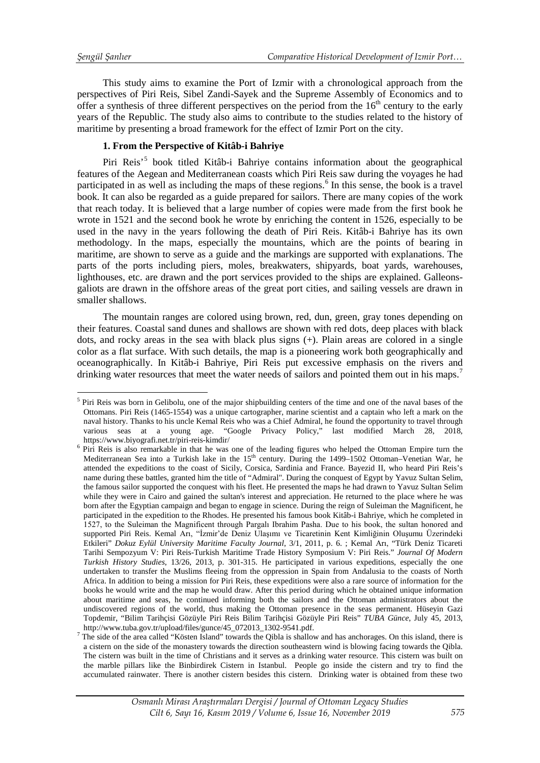This study aims to examine the Port of Izmir with a chronological approach from the perspectives of Piri Reis, Sibel Zandi-Sayek and the Supreme Assembly of Economics and to offer a synthesis of three different perspectives on the period from the  $16<sup>th</sup>$  century to the early years of the Republic. The study also aims to contribute to the studies related to the history of maritime by presenting a broad framework for the effect of Izmir Port on the city.

# **1. From the Perspective of Kitâb-i Bahriye**

Piri Reis<sup>[5](#page-4-0)</sup> book titled Kitâb-i Bahriye contains information about the geographical features of the Aegean and Mediterranean coasts which Piri Reis saw during the voyages he had participated in as well as including the maps of these regions.<sup>[6](#page-4-1)</sup> In this sense, the book is a travel book. It can also be regarded as a guide prepared for sailors. There are many copies of the work that reach today. It is believed that a large number of copies were made from the first book he wrote in 1521 and the second book he wrote by enriching the content in 1526, especially to be used in the navy in the years following the death of Piri Reis. Kitâb-i Bahriye has its own methodology. In the maps, especially the mountains, which are the points of bearing in maritime, are shown to serve as a guide and the markings are supported with explanations. The parts of the ports including piers, moles, breakwaters, shipyards, boat yards, warehouses, lighthouses, etc. are drawn and the port services provided to the ships are explained. Galleonsgaliots are drawn in the offshore areas of the great port cities, and sailing vessels are drawn in smaller shallows.

The mountain ranges are colored using brown, red, dun, green, gray tones depending on their features. Coastal sand dunes and shallows are shown with red dots, deep places with black dots, and rocky areas in the sea with black plus signs (+). Plain areas are colored in a single color as a flat surface. With such details, the map is a pioneering work both geographically and oceanographically. In Kitâb-i Bahriye, Piri Reis put excessive emphasis on the rivers and drinking water resources that meet the water needs of sailors and pointed them out in his maps.<sup>[7](#page-4-2)</sup>

<span id="page-4-0"></span> $<sup>5</sup>$  Piri Reis was born in Gelibolu, one of the major shipbuilding centers of the time and one of the naval bases of the</sup> Ottomans. Piri Reis (1465-1554) was a unique cartographer, marine scientist and a captain who left a mark on the naval history. Thanks to his uncle Kemal Reis who was a Chief Admiral, he found the opportunity to travel through various seas at a young age. "Google Privacy Policy," last modified March 28, 2018, <u>.</u>

<span id="page-4-1"></span>https://www.biyografi.net.tr/piri-reis-kimdir/<br><sup>6</sup> Piri Reis is also remarkable in that he was one of the leading figures who helped the Ottoman Empire turn the Mediterranean Sea into a Turkish lake in the 15<sup>th</sup> century. During the 1499–1502 Ottoman–Venetian War, he attended the expeditions to the coast of Sicily, Corsica, Sardinia and France. Bayezid II, who heard Piri Reis's name during these battles, granted him the title of "Admiral". During the conquest of Egypt by Yavuz Sultan Selim, the famous sailor supported the conquest with his fleet. He presented the maps he had drawn to Yavuz Sultan Selim while they were in Cairo and gained the sultan's interest and appreciation. He returned to the place where he was born after the Egyptian campaign and began to engage in science. During the reign of Suleiman the Magnificent, he participated in the expedition to the Rhodes. He presented his famous book Kitâb-i Bahriye, which he completed in 1527, to the Suleiman the Magnificent through Pargalı Ibrahim Pasha. Due to his book, the sultan honored and supported Piri Reis. Kemal Arı, "İzmir'de Deniz Ulaşımı ve Ticaretinin Kent Kimliğinin Oluşumu Üzerindeki Etkileri" *Dokuz Eylül University Maritime Faculty Journal*, 3/1, 2011, p. 6. ; Kemal Arı, "Türk Deniz Ticareti Tarihi Sempozyum V: Piri Reis-Turkish Maritime Trade History Symposium V: Piri Reis." *Journal Of Modern Turkish History Studies*, 13/26, 2013, p. 301-315. He participated in various expeditions, especially the one undertaken to transfer the Muslims fleeing from the oppression in Spain from Andalusia to the coasts of North Africa. In addition to being a mission for Piri Reis, these expeditions were also a rare source of information for the books he would write and the map he would draw. After this period during which he obtained unique information about maritime and seas, he continued informing both the sailors and the Ottoman administrators about the undiscovered regions of the world, thus making the Ottoman presence in the seas permanent. Hüseyin Gazi Topdemir, "Bilim Tarihçisi Gözüyle Piri Reis Bilim Tarihçisi Gözüyle Piri Reis" *TUBA Günce*, July 45, 2013,

<span id="page-4-2"></span>http://www.tuba.gov.tr/upload/files/gunce/45\_072013\_1302-9541.pdf. The side of the area called "Kösten Island" towards the Qibla is shallow and has anchorages. On this island, there is a cistern on the side of the monastery towards the direction southeastern wind is blowing facing towards the Qibla. The cistern was built in the time of Christians and it serves as a drinking water resource. This cistern was built on the marble pillars like the Binbirdirek Cistern in Istanbul. People go inside the cistern and try to find the accumulated rainwater. There is another cistern besides this cistern. Drinking water is obtained from these two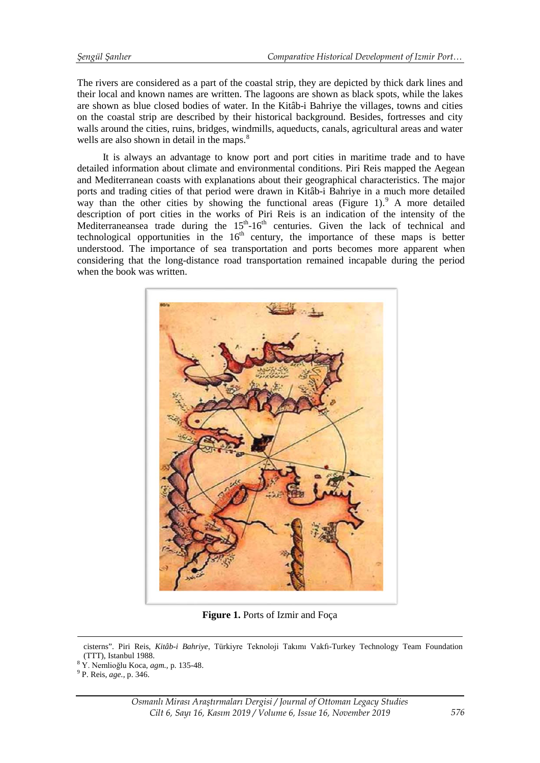The rivers are considered as a part of the coastal strip, they are depicted by thick dark lines and their local and known names are written. The lagoons are shown as black spots, while the lakes are shown as blue closed bodies of water. In the Kitâb-i Bahriye the villages, towns and cities on the coastal strip are described by their historical background. Besides, fortresses and city walls around the cities, ruins, bridges, windmills, aqueducts, canals, agricultural areas and water wells are also shown in detail in the maps.<sup>[8](#page-5-0)</sup>

It is always an advantage to know port and port cities in maritime trade and to have detailed information about climate and environmental conditions. Piri Reis mapped the Aegean and Mediterranean coasts with explanations about their geographical characteristics. The major ports and trading cities of that period were drawn in Kitâb-i Bahriye in a much more detailed way than the other cities by showing the functional areas (Figure 1). A more detailed description of port cities in the works of Piri Reis is an indication of the intensity of the Mediterraneansea trade during the  $15<sup>th</sup> - 16<sup>th</sup>$  centuries. Given the lack of technical and technological opportunities in the  $16<sup>th</sup>$  century, the importance of these maps is better understood. The importance of sea transportation and ports becomes more apparent when considering that the long-distance road transportation remained incapable during the period when the book was written.



**Figure 1.** Ports of Izmir and Foça

 $\overline{a}$ 

cisterns". Piri Reis, *Kitâb-i Bahriye*, Türkiyre Teknoloji Takımı Vakfı-Turkey Technology Team Foundation (TTT), Istanbul 1988. <sup>8</sup> Y. Nemlioğlu Koca, *agm.,* p. 135-48. <sup>9</sup> P. Reis, *age.,* p. 346.

<span id="page-5-1"></span><span id="page-5-0"></span>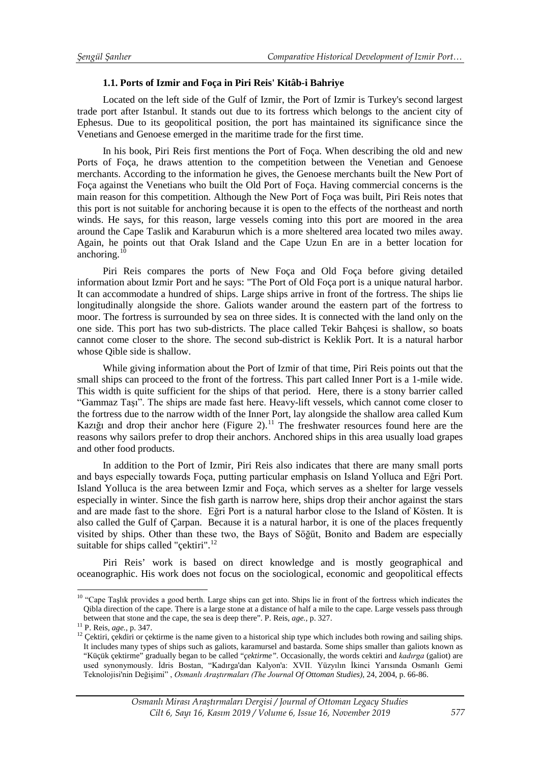# **1.1. Ports of Izmir and Foça in Piri Reis' Kitâb-i Bahriye**

Located on the left side of the Gulf of Izmir, the Port of Izmir is Turkey's second largest trade port after Istanbul. It stands out due to its fortress which belongs to the ancient city of Ephesus. Due to its geopolitical position, the port has maintained its significance since the Venetians and Genoese emerged in the maritime trade for the first time.

In his book, Piri Reis first mentions the Port of Foça. When describing the old and new Ports of Foça, he draws attention to the competition between the Venetian and Genoese merchants. According to the information he gives, the Genoese merchants built the New Port of Foça against the Venetians who built the Old Port of Foça. Having commercial concerns is the main reason for this competition. Although the New Port of Foça was built, Piri Reis notes that this port is not suitable for anchoring because it is open to the effects of the northeast and north winds. He says, for this reason, large vessels coming into this port are moored in the area around the Cape Taslik and Karaburun which is a more sheltered area located two miles away. Again, he points out that Orak Island and the Cape Uzun En are in a better location for anchoring.<sup>1</sup>

Piri Reis compares the ports of New Foça and Old Foça before giving detailed information about Izmir Port and he says: "The Port of Old Foça port is a unique natural harbor. It can accommodate a hundred of ships. Large ships arrive in front of the fortress. The ships lie longitudinally alongside the shore. Galiots wander around the eastern part of the fortress to moor. The fortress is surrounded by sea on three sides. It is connected with the land only on the one side. This port has two sub-districts. The place called Tekir Bahçesi is shallow, so boats cannot come closer to the shore. The second sub-district is Keklik Port. It is a natural harbor whose Qible side is shallow.

While giving information about the Port of Izmir of that time, Piri Reis points out that the small ships can proceed to the front of the fortress. This part called Inner Port is a 1-mile wide. This width is quite sufficient for the ships of that period. Here, there is a stony barrier called "Gammaz Taşı". The ships are made fast here. Heavy-lift vessels, which cannot come closer to the fortress due to the narrow width of the Inner Port, lay alongside the shallow area called Kum Kazığı and drop their anchor here (Figure 2).<sup>[11](#page-6-1)</sup> The freshwater resources found here are the reasons why sailors prefer to drop their anchors. Anchored ships in this area usually load grapes and other food products.

In addition to the Port of Izmir, Piri Reis also indicates that there are many small ports and bays especially towards Foça, putting particular emphasis on Island Yolluca and Eğri Port. Island Yolluca is the area between Izmir and Foça, which serves as a shelter for large vessels especially in winter. Since the fish garth is narrow here, ships drop their anchor against the stars and are made fast to the shore. Eğri Port is a natural harbor close to the Island of Kösten. It is also called the Gulf of Çarpan. Because it is a natural harbor, it is one of the places frequently visited by ships. Other than these two, the Bays of Söğüt, Bonito and Badem are especially suitable for ships called "çektiri".<sup>[12](#page-6-2)</sup>

Piri Reis' work is based on direct knowledge and is mostly geographical and oceanographic. His work does not focus on the sociological, economic and geopolitical effects

<span id="page-6-0"></span><sup>&</sup>lt;sup>10</sup> "Cape Taşlık provides a good berth. Large ships can get into. Ships lie in front of the fortress which indicates the Qibla direction of the cape. There is a large stone at a distance of half a mile to the cape. Large vessels pass through <u>.</u>

<span id="page-6-2"></span>

<span id="page-6-1"></span>between that stone and the cape, the sea is deep there". P. Reis, *age.*, p. 327.<br><sup>11</sup> P. Reis, *age.*, p. 347.<br><sup>12</sup> Çektiri, çekdiri or çektirme is the name given to a historical ship type which includes both rowing and It includes many types of ships such as galiots, karamursel and bastarda. Some ships smaller than galiots known as "Küçük çektirme" gradually began to be called "*çektirme".* Occasionally, the words cektiri and *kadırga* (galiot) are used synonymously. İdris Bostan, "Kadırga'dan Kalyon'a: XVII. Yüzyılın İkinci Yarısında Osmanlı Gemi Teknolojisi'nin Değişimi" , *Osmanlı Araştırmaları (The Journal Of Ottoman Studies)*, 24, 2004, p. 66-86.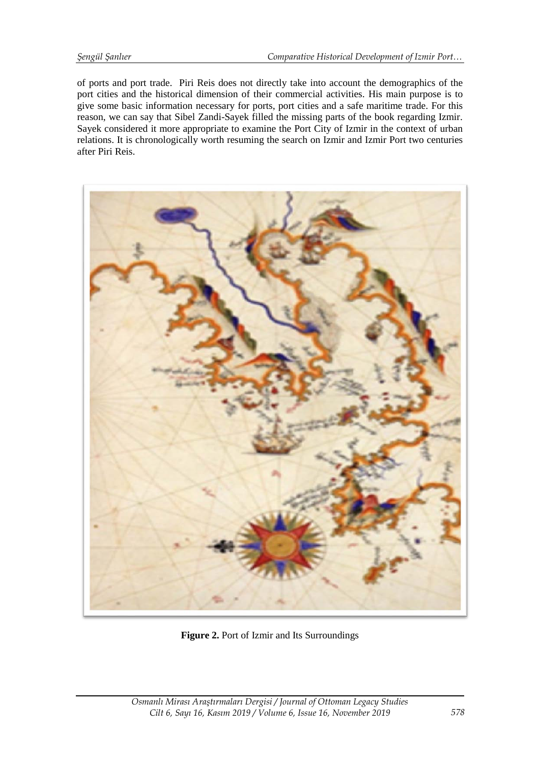of ports and port trade. Piri Reis does not directly take into account the demographics of the port cities and the historical dimension of their commercial activities. His main purpose is to give some basic information necessary for ports, port cities and a safe maritime trade. For this reason, we can say that Sibel Zandi-Sayek filled the missing parts of the book regarding Izmir. Sayek considered it more appropriate to examine the Port City of Izmir in the context of urban relations. It is chronologically worth resuming the search on Izmir and Izmir Port two centuries after Piri Reis.



**Figure 2.** Port of Izmir and Its Surroundings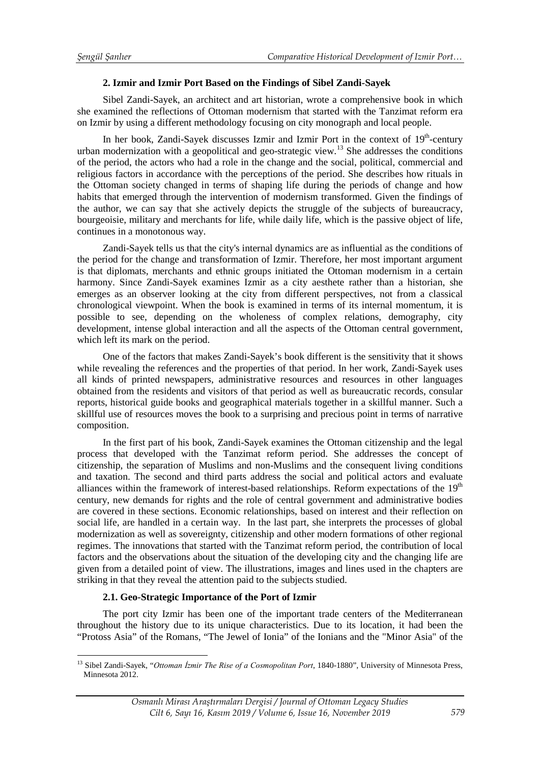## **2. Izmir and Izmir Port Based on the Findings of Sibel Zandi-Sayek**

Sibel Zandi-Sayek, an architect and art historian, wrote a comprehensive book in which she examined the reflections of Ottoman modernism that started with the Tanzimat reform era on Izmir by using a different methodology focusing on city monograph and local people.

In her book, Zandi-Sayek discusses Izmir and Izmir Port in the context of  $19<sup>th</sup>$ -century urban modernization with a geopolitical and geo-strategic view.<sup>[13](#page-8-0)</sup> She addresses the conditions of the period, the actors who had a role in the change and the social, political, commercial and religious factors in accordance with the perceptions of the period. She describes how rituals in the Ottoman society changed in terms of shaping life during the periods of change and how habits that emerged through the intervention of modernism transformed. Given the findings of the author, we can say that she actively depicts the struggle of the subjects of bureaucracy, bourgeoisie, military and merchants for life, while daily life, which is the passive object of life, continues in a monotonous way.

Zandi-Sayek tells us that the city's internal dynamics are as influential as the conditions of the period for the change and transformation of Izmir. Therefore, her most important argument is that diplomats, merchants and ethnic groups initiated the Ottoman modernism in a certain harmony. Since Zandi-Sayek examines Izmir as a city aesthete rather than a historian, she emerges as an observer looking at the city from different perspectives, not from a classical chronological viewpoint. When the book is examined in terms of its internal momentum, it is possible to see, depending on the wholeness of complex relations, demography, city development, intense global interaction and all the aspects of the Ottoman central government, which left its mark on the period.

One of the factors that makes Zandi-Sayek's book different is the sensitivity that it shows while revealing the references and the properties of that period. In her work, Zandi-Sayek uses all kinds of printed newspapers, administrative resources and resources in other languages obtained from the residents and visitors of that period as well as bureaucratic records, consular reports, historical guide books and geographical materials together in a skillful manner. Such a skillful use of resources moves the book to a surprising and precious point in terms of narrative composition.

In the first part of his book, Zandi-Sayek examines the Ottoman citizenship and the legal process that developed with the Tanzimat reform period. She addresses the concept of citizenship, the separation of Muslims and non-Muslims and the consequent living conditions and taxation. The second and third parts address the social and political actors and evaluate alliances within the framework of interest-based relationships. Reform expectations of the 19<sup>th</sup> century, new demands for rights and the role of central government and administrative bodies are covered in these sections. Economic relationships, based on interest and their reflection on social life, are handled in a certain way. In the last part, she interprets the processes of global modernization as well as sovereignty, citizenship and other modern formations of other regional regimes. The innovations that started with the Tanzimat reform period, the contribution of local factors and the observations about the situation of the developing city and the changing life are given from a detailed point of view. The illustrations, images and lines used in the chapters are striking in that they reveal the attention paid to the subjects studied.

# **2.1. Geo-Strategic Importance of the Port of Izmir**

The port city Izmir has been one of the important trade centers of the Mediterranean throughout the history due to its unique characteristics. Due to its location, it had been the "Protoss Asia" of the Romans, "The Jewel of Ionia" of the Ionians and the "Minor Asia" of the

<span id="page-8-0"></span><sup>13</sup> Sibel Zandi-Sayek, "*Ottoman İzmir The Rise of a Cosmopolitan Port*, 1840-1880", University of Minnesota Press, Minnesota 2012. <u>.</u>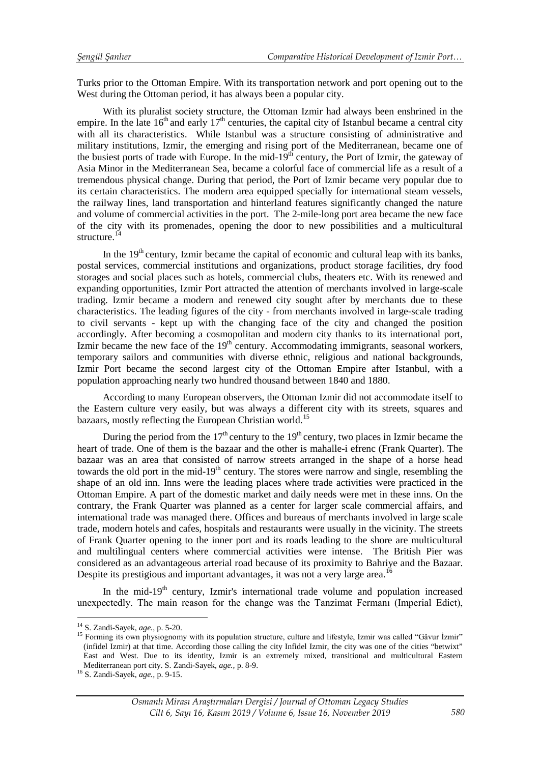Turks prior to the Ottoman Empire. With its transportation network and port opening out to the West during the Ottoman period, it has always been a popular city.

With its pluralist society structure, the Ottoman Izmir had always been enshrined in the empire. In the late  $16<sup>th</sup>$  and early  $17<sup>th</sup>$  centuries, the capital city of Istanbul became a central city with all its characteristics. While Istanbul was a structure consisting of administrative and military institutions, Izmir, the emerging and rising port of the Mediterranean, became one of the busiest ports of trade with Europe. In the mid- $19<sup>th</sup>$  century, the Port of Izmir, the gateway of Asia Minor in the Mediterranean Sea, became a colorful face of commercial life as a result of a tremendous physical change. During that period, the Port of Izmir became very popular due to its certain characteristics. The modern area equipped specially for international steam vessels, the railway lines, land transportation and hinterland features significantly changed the nature and volume of commercial activities in the port. The 2-mile-long port area became the new face of the city with its promenades, opening the door to new possibilities and a multicultural structure.<sup>[14](#page-9-0)</sup>

In the  $19<sup>th</sup>$  century, Izmir became the capital of economic and cultural leap with its banks, postal services, commercial institutions and organizations, product storage facilities, dry food storages and social places such as hotels, commercial clubs, theaters etc. With its renewed and expanding opportunities, Izmir Port attracted the attention of merchants involved in large-scale trading. Izmir became a modern and renewed city sought after by merchants due to these characteristics. The leading figures of the city - from merchants involved in large-scale trading to civil servants - kept up with the changing face of the city and changed the position accordingly. After becoming a cosmopolitan and modern city thanks to its international port, Izmir became the new face of the  $19<sup>th</sup>$  century. Accommodating immigrants, seasonal workers, temporary sailors and communities with diverse ethnic, religious and national backgrounds, Izmir Port became the second largest city of the Ottoman Empire after Istanbul, with a population approaching nearly two hundred thousand between 1840 and 1880.

According to many European observers, the Ottoman Izmir did not accommodate itself to the Eastern culture very easily, but was always a different city with its streets, squares and bazaars, mostly reflecting the European Christian world.<sup>[15](#page-9-1)</sup>

During the period from the  $17<sup>th</sup>$  century to the  $19<sup>th</sup>$  century, two places in Izmir became the heart of trade. One of them is the bazaar and the other is mahalle-i efrenc (Frank Quarter). The bazaar was an area that consisted of narrow streets arranged in the shape of a horse head towards the old port in the mid-19<sup>th</sup> century. The stores were narrow and single, resembling the shape of an old inn. Inns were the leading places where trade activities were practiced in the Ottoman Empire. A part of the domestic market and daily needs were met in these inns. On the contrary, the Frank Quarter was planned as a center for larger scale commercial affairs, and international trade was managed there. Offices and bureaus of merchants involved in large scale trade, modern hotels and cafes, hospitals and restaurants were usually in the vicinity. The streets of Frank Quarter opening to the inner port and its roads leading to the shore are multicultural and multilingual centers where commercial activities were intense. The British Pier was considered as an advantageous arterial road because of its proximity to Bahriye and the Bazaar. Despite its prestigious and important advantages, it was not a very large area.<sup>[16](#page-9-2)</sup>

In the mid- $19<sup>th</sup>$  century, Izmir's international trade volume and population increased unexpectedly. The main reason for the change was the Tanzimat Fermanı (Imperial Edict),

-

<span id="page-9-1"></span>

<span id="page-9-0"></span><sup>&</sup>lt;sup>14</sup> S. Zandi-Sayek, *age.*, p. 5-20.<br><sup>15</sup> Forming its own physiognomy with its population structure, culture and lifestyle, Izmir was called "Gâvur İzmir" (infidel Izmir) at that time. According those calling the city Infidel Izmir, the city was one of the cities "betwixt" East and West. Due to its identity, Izmir is an extremely mixed, transitional and multicultural Eastern Mediterranean port city. S. Zandi-Sayek, *age.,* p. 8-9. <sup>16</sup> S. Zandi-Sayek, *age.,* p. 9-15.

<span id="page-9-2"></span>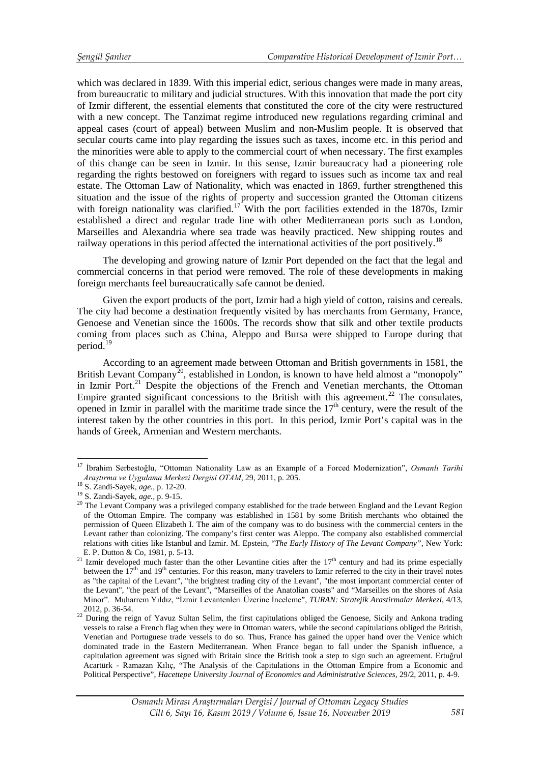which was declared in 1839. With this imperial edict, serious changes were made in many areas, from bureaucratic to military and judicial structures. With this innovation that made the port city of Izmir different, the essential elements that constituted the core of the city were restructured with a new concept. The Tanzimat regime introduced new regulations regarding criminal and appeal cases (court of appeal) between Muslim and non-Muslim people. It is observed that secular courts came into play regarding the issues such as taxes, income etc. in this period and the minorities were able to apply to the commercial court of when necessary. The first examples of this change can be seen in Izmir. In this sense, Izmir bureaucracy had a pioneering role regarding the rights bestowed on foreigners with regard to issues such as income tax and real estate. The Ottoman Law of Nationality, which was enacted in 1869, further strengthened this situation and the issue of the rights of property and succession granted the Ottoman citizens with foreign nationality was clarified.<sup>[17](#page-10-0)</sup> With the port facilities extended in the 1870s, Izmir established a direct and regular trade line with other Mediterranean ports such as London, Marseilles and Alexandria where sea trade was heavily practiced. New shipping routes and railway operations in this period affected the international activities of the port positively.<sup>18</sup>

The developing and growing nature of Izmir Port depended on the fact that the legal and commercial concerns in that period were removed. The role of these developments in making foreign merchants feel bureaucratically safe cannot be denied.

Given the export products of the port, Izmir had a high yield of cotton, raisins and cereals. The city had become a destination frequently visited by has merchants from Germany, France, Genoese and Venetian since the 1600s. The records show that silk and other textile products coming from places such as China, Aleppo and Bursa were shipped to Europe during that period.<sup>[19](#page-10-2)</sup>

According to an agreement made between Ottoman and British governments in 1581, the British Levant Company<sup>[20](#page-10-3)</sup>, established in London, is known to have held almost a "monopoly" in Izmir Port.<sup>[21](#page-10-4)</sup> Despite the objections of the French and Venetian merchants, the Ottoman Empire granted significant concessions to the British with this agreement.<sup>[22](#page-10-5)</sup> The consulates, opened in Izmir in parallel with the maritime trade since the  $17<sup>th</sup>$  century, were the result of the interest taken by the other countries in this port. In this period, Izmir Port's capital was in the hands of Greek, Armenian and Western merchants.

-

<span id="page-10-0"></span><sup>17</sup> İbrahim Serbestoğlu, "Ottoman Nationality Law as an Example of a Forced Modernization", *Osmanlı Tarihi Arastirma ve Uygulama Merkezi Dergisi OTAM*, 29, 2011, p. 205.<br><sup>18</sup> S. Zandi-Sayek, *age.*, p. 12-20.<br><sup>19</sup> S. Zandi-Sayek, *age.*, p. 9-15.<br><sup>19</sup> S. Zandi-Sayek, *age.*, p. 9-15.<br><sup>20</sup> The Levant Company was a privileged co

<span id="page-10-1"></span>

<span id="page-10-2"></span>

<span id="page-10-3"></span>of the Ottoman Empire. The company was established in 1581 by some British merchants who obtained the permission of Queen Elizabeth I. The aim of the company was to do business with the commercial centers in the Levant rather than colonizing. The company's first center was Aleppo. The company also established commercial relations with cities like Istanbul and Izmir. M. Epstein, "*The Early History of The Levant Company"*, New York:

<span id="page-10-4"></span>E. P. Dutton  $\alpha$  Co, 1981, p. 5-13. 21 Izmir developed much faster than the other Levantine cities after the 17<sup>th</sup> century and had its prime especially between the  $17<sup>th</sup>$  and  $19<sup>th</sup>$  centuries. For this reason, many travelers to Izmir referred to the city in their travel notes as "the capital of the Levant", "the brightest trading city of the Levant", "the most important commercial center of the Levant", "the pearl of the Levant", "Marseilles of the Anatolian coasts" and "Marseilles on the shores of Asia Minor". Muharrem Yıldız, "İzmir Levantenleri Üzerine İnceleme", *TURAN: Stratejik Arastirmalar Merkezi*, 4/13,

<span id="page-10-5"></span><sup>&</sup>lt;sup>22</sup> During the reign of Yavuz Sultan Selim, the first capitulations obliged the Genoese, Sicily and Ankona trading vessels to raise a French flag when they were in Ottoman waters, while the second capitulations obliged the British, Venetian and Portuguese trade vessels to do so. Thus, France has gained the upper hand over the Venice which dominated trade in the Eastern Mediterranean. When France began to fall under the Spanish influence, a capitulation agreement was signed with Britain since the British took a step to sign such an agreement. Ertuğrul Acartürk - Ramazan Kılıç, "The Analysis of the Capitulations in the Ottoman Empire from a Economic and Political Perspective", *Hacettepe University Journal of Economics and Administrative Sciences*, 29/2, 2011, p. 4-9.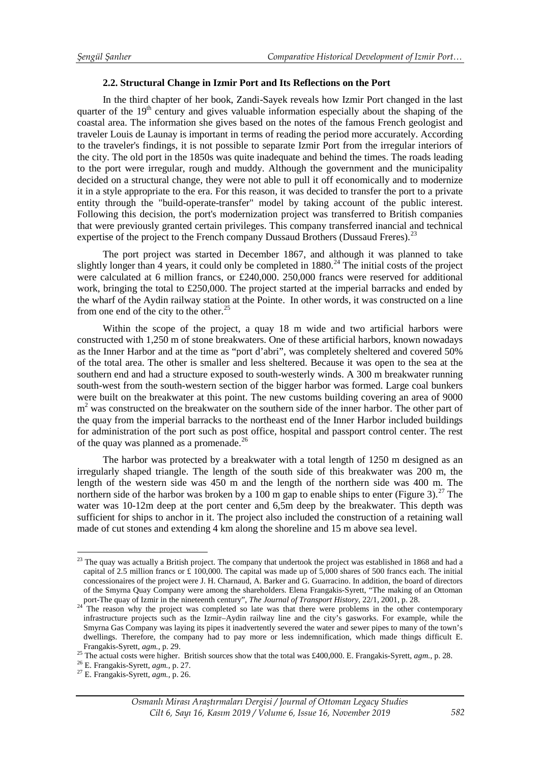## **2.2. Structural Change in Izmir Port and Its Reflections on the Port**

In the third chapter of her book, Zandi-Sayek reveals how Izmir Port changed in the last quarter of the  $19<sup>th</sup>$  century and gives valuable information especially about the shaping of the coastal area. The information she gives based on the notes of the famous French geologist and traveler Louis de Launay is important in terms of reading the period more accurately. According to the traveler's findings, it is not possible to separate Izmir Port from the irregular interiors of the city. The old port in the 1850s was quite inadequate and behind the times. The roads leading to the port were irregular, rough and muddy. Although the government and the municipality decided on a structural change, they were not able to pull it off economically and to modernize it in a style appropriate to the era. For this reason, it was decided to transfer the port to a private entity through the "build-operate-transfer" model by taking account of the public interest. Following this decision, the port's modernization project was transferred to British companies that were previously granted certain privileges. This company transferred inancial and technical expertise of the project to the French company Dussaud Brothers (Dussaud Freres).<sup>23</sup>

The port project was started in December 1867, and although it was planned to take slightly longer than 4 years, it could only be completed in  $1880.<sup>24</sup>$  $1880.<sup>24</sup>$  $1880.<sup>24</sup>$  The initial costs of the project were calculated at 6 million francs, or £240,000. 250,000 francs were reserved for additional work, bringing the total to £250,000. The project started at the imperial barracks and ended by the wharf of the Aydin railway station at the Pointe. In other words, it was constructed on a line from one end of the city to the other. $25$ 

Within the scope of the project, a quay 18 m wide and two artificial harbors were constructed with 1,250 m of stone breakwaters. One of these artificial harbors, known nowadays as the Inner Harbor and at the time as "port d'abri", was completely sheltered and covered 50% of the total area. The other is smaller and less sheltered. Because it was open to the sea at the southern end and had a structure exposed to south-westerly winds. A 300 m breakwater running south-west from the south-western section of the bigger harbor was formed. Large coal bunkers were built on the breakwater at this point. The new customs building covering an area of 9000  $m<sup>2</sup>$  was constructed on the breakwater on the southern side of the inner harbor. The other part of the quay from the imperial barracks to the northeast end of the Inner Harbor included buildings for administration of the port such as post office, hospital and passport control center. The rest of the quay was planned as a promenade.<sup>[26](#page-11-3)</sup>

The harbor was protected by a breakwater with a total length of 1250 m designed as an irregularly shaped triangle. The length of the south side of this breakwater was 200 m, the length of the western side was 450 m and the length of the northern side was 400 m. The northern side of the harbor was broken by a 100 m gap to enable ships to enter (Figure 3).<sup>[27](#page-11-4)</sup> The water was 10-12m deep at the port center and 6,5m deep by the breakwater. This depth was sufficient for ships to anchor in it. The project also included the construction of a retaining wall made of cut stones and extending 4 km along the shoreline and 15 m above sea level.

<u>.</u>

<span id="page-11-0"></span> $23$  The quay was actually a British project. The company that undertook the project was established in 1868 and had a capital of 2.5 million francs or £ 100,000. The capital was made up of 5,000 shares of 500 francs each. The initial concessionaires of the project were J. H. Charnaud, A. Barker and G. Guarracino. In addition, the board of directors of the Smyrna Quay Company were among the shareholders. Elena Frangakis-Syrett, "The making of an Ottoman port-The quay of Izmir in the nineteenth century", *The Journal of Transport History*, 22/1, 2001, p. 28.<br><sup>24</sup> The reason why the project was completed so late was that there were problems in the other contemporary

<span id="page-11-1"></span>infrastructure projects such as the Izmir–Aydin railway line and the city's gasworks. For example, while the Smyrna Gas Company was laying its pipes it inadvertently severed the water and sewer pipes to many of the town's dwellings. Therefore, the company had to pay more or less indemnification, which made things difficult E.<br>Frangakis-Svrett,  $agn. p. 29$ .

<span id="page-11-3"></span><span id="page-11-2"></span><sup>&</sup>lt;sup>25</sup> The actual costs were higher. British sources show that the total was £400,000. E. Frangakis-Syrett, *agm.*, p. 28.<br><sup>26</sup> E. Frangakis-Syrett, *agm.*, p. 27.<br><sup>27</sup> E. Frangakis-Syrett, *agm.*, p. 26.

<span id="page-11-4"></span>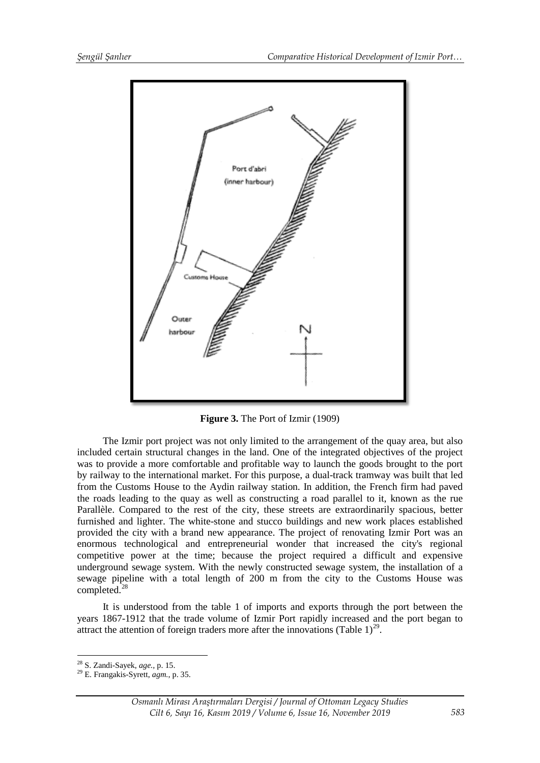

**Figure 3.** The Port of Izmir (1909)

The Izmir port project was not only limited to the arrangement of the quay area, but also included certain structural changes in the land. One of the integrated objectives of the project was to provide a more comfortable and profitable way to launch the goods brought to the port by railway to the international market. For this purpose, a dual-track tramway was built that led from the Customs House to the Aydin railway station. In addition, the French firm had paved the roads leading to the quay as well as constructing a road parallel to it, known as the rue Parallèle. Compared to the rest of the city, these streets are extraordinarily spacious, better furnished and lighter. The white-stone and stucco buildings and new work places established provided the city with a brand new appearance. The project of renovating Izmir Port was an enormous technological and entrepreneurial wonder that increased the city's regional competitive power at the time; because the project required a difficult and expensive underground sewage system. With the newly constructed sewage system, the installation of a sewage pipeline with a total length of 200 m from the city to the Customs House was completed.<sup>[28](#page-12-0)</sup>

It is understood from the table 1 of imports and exports through the port between the years 1867-1912 that the trade volume of Izmir Port rapidly increased and the port began to attract the attention of foreign traders more after the innovations (Table  $1$ )<sup>[29](#page-12-1)</sup>.

<u>.</u>

<span id="page-12-1"></span><span id="page-12-0"></span>

<sup>28</sup> S. Zandi-Sayek, *age.,* p. 15. <sup>29</sup> E. Frangakis-Syrett, *agm.*, p. 35.

*Osmanlı Mirası Araştırmaları Dergisi / Journal of Ottoman Legacy Studies Cilt 6, Sayı 16, Kasım 2019 / Volume 6, Issue 16, November 2019*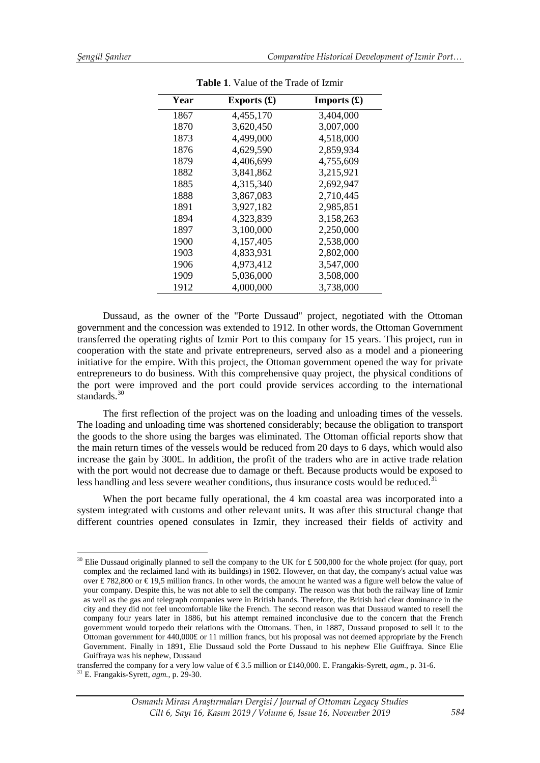| Year | Exports $(\pounds)$ | Imports $(\mathbf{\pounds})$ |
|------|---------------------|------------------------------|
| 1867 | 4,455,170           | 3,404,000                    |
| 1870 | 3,620,450           | 3,007,000                    |
| 1873 | 4,499,000           | 4,518,000                    |
| 1876 | 4,629,590           | 2,859,934                    |
| 1879 | 4,406,699           | 4,755,609                    |
| 1882 | 3,841,862           | 3,215,921                    |
| 1885 | 4,315,340           | 2,692,947                    |
| 1888 | 3,867,083           | 2,710,445                    |
| 1891 | 3,927,182           | 2,985,851                    |
| 1894 | 4,323,839           | 3,158,263                    |
| 1897 | 3,100,000           | 2,250,000                    |
| 1900 | 4,157,405           | 2,538,000                    |
| 1903 | 4,833,931           | 2,802,000                    |
| 1906 | 4,973,412           | 3,547,000                    |
| 1909 | 5,036,000           | 3,508,000                    |
| 1912 | 4,000,000           | 3,738,000                    |

**Table 1**. Value of the Trade of Izmir

Dussaud, as the owner of the "Porte Dussaud" project, negotiated with the Ottoman government and the concession was extended to 1912. In other words, the Ottoman Government transferred the operating rights of Izmir Port to this company for 15 years. This project, run in cooperation with the state and private entrepreneurs, served also as a model and a pioneering initiative for the empire. With this project, the Ottoman government opened the way for private entrepreneurs to do business. With this comprehensive quay project, the physical conditions of the port were improved and the port could provide services according to the international standards.<sup>30</sup>

The first reflection of the project was on the loading and unloading times of the vessels. The loading and unloading time was shortened considerably; because the obligation to transport the goods to the shore using the barges was eliminated. The Ottoman official reports show that the main return times of the vessels would be reduced from 20 days to 6 days, which would also increase the gain by 300£. In addition, the profit of the traders who are in active trade relation with the port would not decrease due to damage or theft. Because products would be exposed to less handling and less severe weather conditions, thus insurance costs would be reduced. $31$ 

When the port became fully operational, the 4 km coastal area was incorporated into a system integrated with customs and other relevant units. It was after this structural change that different countries opened consulates in Izmir, they increased their fields of activity and

<span id="page-13-0"></span><sup>&</sup>lt;sup>30</sup> Elie Dussaud originally planned to sell the company to the UK for £ 500,000 for the whole project (for quay, port complex and the reclaimed land with its buildings) in 1982. However, on that day, the company's actual value was over £782,800 or  $\in$  19,5 million francs. In other words, the amount he wanted was a figure well below the value of your company. Despite this, he was not able to sell the company. The reason was that both the railway line of Izmir as well as the gas and telegraph companies were in British hands. Therefore, the British had clear dominance in the city and they did not feel uncomfortable like the French. The second reason was that Dussaud wanted to resell the company four years later in 1886, but his attempt remained inconclusive due to the concern that the French government would torpedo their relations with the Ottomans. Then, in 1887, Dussaud proposed to sell it to the Ottoman government for 440,000£ or 11 million francs, but his proposal was not deemed appropriate by the French Government. Finally in 1891, Elie Dussaud sold the Porte Dussaud to his nephew Elie Guiffraya. Since Elie Guiffraya was his nephew, Dussaud <u>.</u>

transferred the company for a very low value of  $\epsilon$ 3.5 million or £140,000. E. Frangakis-Syrett, *agm.*, p. 31-6. <sup>31</sup> E. Frangakis-Syrett, *agm.*, p. 31-6.

<span id="page-13-1"></span>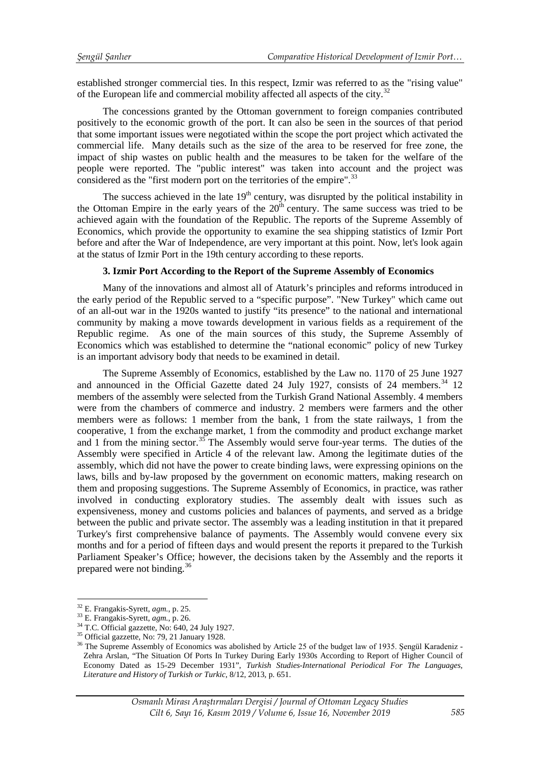established stronger commercial ties. In this respect, Izmir was referred to as the "rising value" of the European life and commercial mobility affected all aspects of the city.<sup>[32](#page-14-0)</sup>

The concessions granted by the Ottoman government to foreign companies contributed positively to the economic growth of the port. It can also be seen in the sources of that period that some important issues were negotiated within the scope the port project which activated the commercial life. Many details such as the size of the area to be reserved for free zone, the impact of ship wastes on public health and the measures to be taken for the welfare of the people were reported. The "public interest" was taken into account and the project was considered as the "first modern port on the territories of the empire".<sup>[33](#page-14-1)</sup>

The success achieved in the late  $19<sup>th</sup>$  century, was disrupted by the political instability in the Ottoman Empire in the early years of the  $20<sup>th</sup>$  century. The same success was tried to be achieved again with the foundation of the Republic. The reports of the Supreme Assembly of Economics, which provide the opportunity to examine the sea shipping statistics of Izmir Port before and after the War of Independence, are very important at this point. Now, let's look again at the status of Izmir Port in the 19th century according to these reports.

# **3. Izmir Port According to the Report of the Supreme Assembly of Economics**

Many of the innovations and almost all of Ataturk's principles and reforms introduced in the early period of the Republic served to a "specific purpose". "New Turkey" which came out of an all-out war in the 1920s wanted to justify "its presence" to the national and international community by making a move towards development in various fields as a requirement of the Republic regime. As one of the main sources of this study, the Supreme Assembly of Economics which was established to determine the "national economic" policy of new Turkey is an important advisory body that needs to be examined in detail.

The Supreme Assembly of Economics, established by the Law no. 1170 of 25 June 1927 and announced in the Official Gazette dated 24 July 1927, consists of 24 members.<sup>34</sup> 12 members of the assembly were selected from the Turkish Grand National Assembly. 4 members were from the chambers of commerce and industry. 2 members were farmers and the other members were as follows: 1 member from the bank, 1 from the state railways, 1 from the cooperative, 1 from the exchange market, 1 from the commodity and product exchange market and 1 from the mining sector.<sup>[35](#page-14-3)</sup> The Assembly would serve four-year terms. The duties of the Assembly were specified in Article 4 of the relevant law. Among the legitimate duties of the assembly, which did not have the power to create binding laws, were expressing opinions on the laws, bills and by-law proposed by the government on economic matters, making research on them and proposing suggestions. The Supreme Assembly of Economics, in practice, was rather involved in conducting exploratory studies. The assembly dealt with issues such as expensiveness, money and customs policies and balances of payments, and served as a bridge between the public and private sector. The assembly was a leading institution in that it prepared Turkey's first comprehensive balance of payments. The Assembly would convene every six months and for a period of fifteen days and would present the reports it prepared to the Turkish Parliament Speaker's Office; however, the decisions taken by the Assembly and the reports it prepared were not binding.[36](#page-14-4)

<span id="page-14-0"></span> $32$  E. Frangakis-Syrett,  $agm$ ., p. 25.

<span id="page-14-2"></span>

<span id="page-14-4"></span><span id="page-14-3"></span>

<span id="page-14-1"></span><sup>&</sup>lt;sup>33</sup> E. Frangakis-Syrett, *agm.*, p. 26.<br><sup>34</sup> T.C. Official gazzette, No: 640, 24 July 1927.<br><sup>35</sup> Official gazzette, No: 79, 21 January 1928.<br><sup>36</sup> The Supreme Assembly of Economics was abolished by Article 25 of the budge Zehra Arslan, "The Situation Of Ports In Turkey During Early 1930s According to Report of Higher Council of Economy Dated as 15-29 December 1931", *Turkish Studies-International Periodical For The Languages, Literature and History of Turkish or Turkic*, 8/12, 2013, p. 651.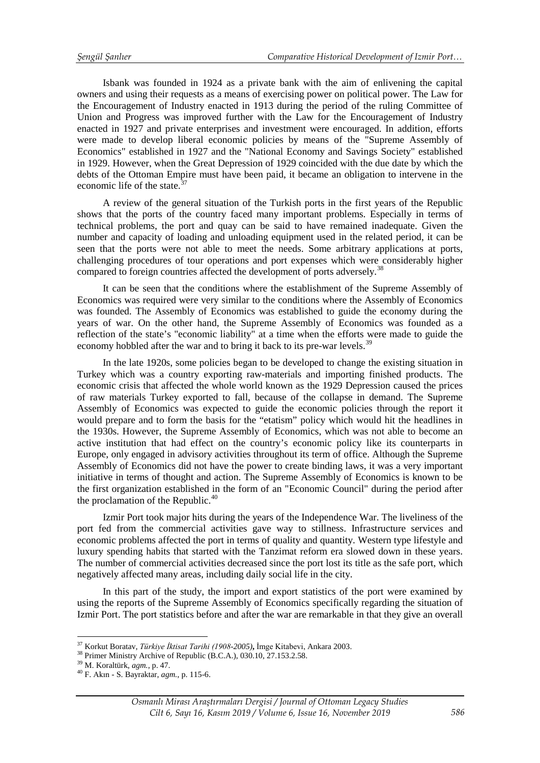Isbank was founded in 1924 as a private bank with the aim of enlivening the capital owners and using their requests as a means of exercising power on political power. The Law for the Encouragement of Industry enacted in 1913 during the period of the ruling Committee of Union and Progress was improved further with the Law for the Encouragement of Industry enacted in 1927 and private enterprises and investment were encouraged. In addition, efforts were made to develop liberal economic policies by means of the "Supreme Assembly of Economics" established in 1927 and the "National Economy and Savings Society" established in 1929. However, when the Great Depression of 1929 coincided with the due date by which the debts of the Ottoman Empire must have been paid, it became an obligation to intervene in the economic life of the state  $37$ 

A review of the general situation of the Turkish ports in the first years of the Republic shows that the ports of the country faced many important problems. Especially in terms of technical problems, the port and quay can be said to have remained inadequate. Given the number and capacity of loading and unloading equipment used in the related period, it can be seen that the ports were not able to meet the needs. Some arbitrary applications at ports, challenging procedures of tour operations and port expenses which were considerably higher compared to foreign countries affected the development of ports adversely.<sup>[38](#page-15-1)</sup>

It can be seen that the conditions where the establishment of the Supreme Assembly of Economics was required were very similar to the conditions where the Assembly of Economics was founded. The Assembly of Economics was established to guide the economy during the years of war. On the other hand, the Supreme Assembly of Economics was founded as a reflection of the state's "economic liability" at a time when the efforts were made to guide the economy hobbled after the war and to bring it back to its pre-war levels.<sup>[39](#page-15-2)</sup>

In the late 1920s, some policies began to be developed to change the existing situation in Turkey which was a country exporting raw-materials and importing finished products. The economic crisis that affected the whole world known as the 1929 Depression caused the prices of raw materials Turkey exported to fall, because of the collapse in demand. The Supreme Assembly of Economics was expected to guide the economic policies through the report it would prepare and to form the basis for the "etatism" policy which would hit the headlines in the 1930s. However, the Supreme Assembly of Economics, which was not able to become an active institution that had effect on the country's economic policy like its counterparts in Europe, only engaged in advisory activities throughout its term of office. Although the Supreme Assembly of Economics did not have the power to create binding laws, it was a very important initiative in terms of thought and action. The Supreme Assembly of Economics is known to be the first organization established in the form of an "Economic Council" during the period after the proclamation of the Republic. $40$ 

Izmir Port took major hits during the years of the Independence War. The liveliness of the port fed from the commercial activities gave way to stillness. Infrastructure services and economic problems affected the port in terms of quality and quantity. Western type lifestyle and luxury spending habits that started with the Tanzimat reform era slowed down in these years. The number of commercial activities decreased since the port lost its title as the safe port, which negatively affected many areas, including daily social life in the city.

In this part of the study, the import and export statistics of the port were examined by using the reports of the Supreme Assembly of Economics specifically regarding the situation of Izmir Port. The port statistics before and after the war are remarkable in that they give an overall

<span id="page-15-0"></span><sup>&</sup>lt;sup>37</sup> Korkut Boratav, *Türkive İktisat Tarihi (1908-2005)*, İmge Kitabevi, Ankara 2003.

<span id="page-15-1"></span><sup>&</sup>lt;sup>38</sup> Primer Ministry Archive of Republic (B.C.A.), 030.10, 27.153.2.58.<br><sup>39</sup> M. Koraltürk, *agm.*, p. 47.<br><sup>40</sup> F. Akın - S. Bayraktar, *agm.*, p. 115-6.

<span id="page-15-2"></span>

<span id="page-15-3"></span>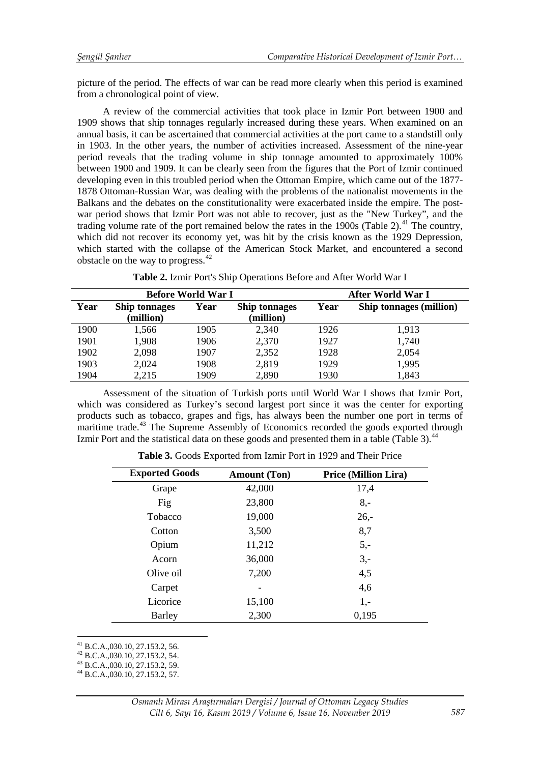picture of the period. The effects of war can be read more clearly when this period is examined from a chronological point of view.

A review of the commercial activities that took place in Izmir Port between 1900 and 1909 shows that ship tonnages regularly increased during these years. When examined on an annual basis, it can be ascertained that commercial activities at the port came to a standstill only in 1903. In the other years, the number of activities increased. Assessment of the nine-year period reveals that the trading volume in ship tonnage amounted to approximately 100% between 1900 and 1909. It can be clearly seen from the figures that the Port of Izmir continued developing even in this troubled period when the Ottoman Empire, which came out of the 1877- 1878 Ottoman-Russian War, was dealing with the problems of the nationalist movements in the Balkans and the debates on the constitutionality were exacerbated inside the empire. The postwar period shows that Izmir Port was not able to recover, just as the "New Turkey", and the trading volume rate of the port remained below the rates in the 1900s (Table 2).<sup>[41](#page-16-0)</sup> The country, which did not recover its economy yet, was hit by the crisis known as the 1929 Depression, which started with the collapse of the American Stock Market, and encountered a second obstacle on the way to progress. $42$ 

|  |  |  |  | Table 2. Izmir Port's Ship Operations Before and After World War I |  |  |  |  |  |
|--|--|--|--|--------------------------------------------------------------------|--|--|--|--|--|
|--|--|--|--|--------------------------------------------------------------------|--|--|--|--|--|

| <b>Before World War I</b> |                                   |                                           |       | After World War I |                                |  |
|---------------------------|-----------------------------------|-------------------------------------------|-------|-------------------|--------------------------------|--|
| Year                      | <b>Ship tonnages</b><br>(million) | Year<br><b>Ship tonnages</b><br>(million) |       | Year              | <b>Ship tonnages (million)</b> |  |
|                           |                                   |                                           |       |                   |                                |  |
| 1900                      | 1,566                             | 1905                                      | 2,340 | 1926              | 1,913                          |  |
| 1901                      | 1,908                             | 1906                                      | 2,370 | 1927              | 1,740                          |  |
| 1902                      | 2,098                             | 1907                                      | 2,352 | 1928              | 2,054                          |  |
| 1903                      | 2,024                             | 1908                                      | 2,819 | 1929              | 1,995                          |  |
| 1904                      | 2,215                             | 1909                                      | 2,890 | 1930              | 1,843                          |  |

Assessment of the situation of Turkish ports until World War I shows that Izmir Port, which was considered as Turkey's second largest port since it was the center for exporting products such as tobacco, grapes and figs, has always been the number one port in terms of maritime trade.<sup>[43](#page-16-2)</sup> The Supreme Assembly of Economics recorded the goods exported through Izmir Port and the statistical data on these goods and presented them in a table (Table 3).<sup>[44](#page-16-3)</sup>

| <b>Exported Goods</b> | <b>Amount (Ton)</b> | <b>Price (Million Lira)</b> |
|-----------------------|---------------------|-----------------------------|
| Grape                 | 42,000              | 17,4                        |
| Fig                   | 23,800              | $8, -$                      |
| Tobacco               | 19,000              | $26 -$                      |
| Cotton                | 3,500               | 8,7                         |
| Opium                 | 11,212              | $5,-$                       |
| Acorn                 | 36,000              | $3,-$                       |
| Olive oil             | 7,200               | 4,5                         |
| Carpet                |                     | 4,6                         |
| Licorice              | 15,100              | $1,-$                       |
| <b>Barley</b>         | 2,300               | 0,195                       |

**Table 3.** Goods Exported from Izmir Port in 1929 and Their Price

<span id="page-16-0"></span> $^{41}$  B.C.A., 030.10, 27.153.2, 56.

<span id="page-16-1"></span><sup>42</sup> B.C.A.,030.10, 27.153.2, 54.<br><sup>43</sup> B.C.A.,030.10, 27.153.2, 59.<br><sup>44</sup> B.C.A.,030.10, 27.153.2, 57.

<span id="page-16-2"></span>

<span id="page-16-3"></span>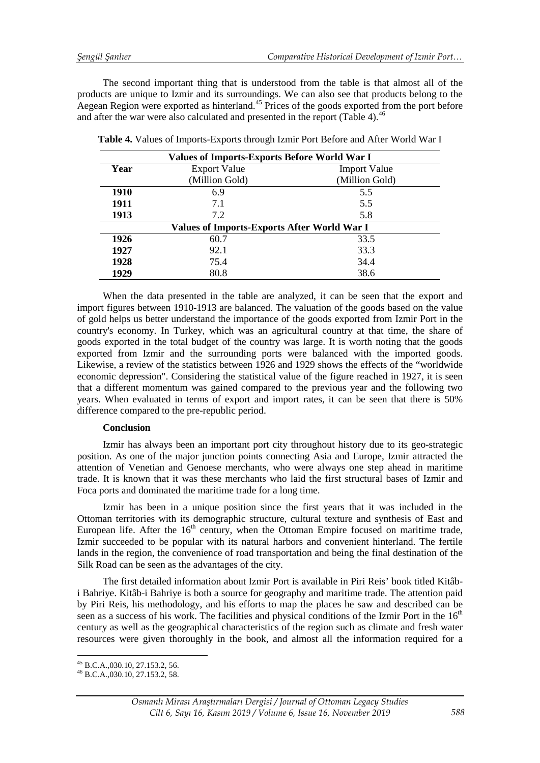The second important thing that is understood from the table is that almost all of the products are unique to Izmir and its surroundings. We can also see that products belong to the Aegean Region were exported as hinterland.<sup>[45](#page-17-0)</sup> Prices of the goods exported from the port before and after the war were also calculated and presented in the report (Table 4).<sup>[46](#page-17-1)</sup>

| <b>Values of Imports-Exports Before World War I</b> |                     |                     |  |  |  |
|-----------------------------------------------------|---------------------|---------------------|--|--|--|
| Year                                                | <b>Export Value</b> | <b>Import Value</b> |  |  |  |
|                                                     | (Million Gold)      | (Million Gold)      |  |  |  |
| 1910                                                | 6.9                 | 5.5                 |  |  |  |
| 1911                                                | 7.1                 | 5.5                 |  |  |  |
| 1913                                                | 7.2                 | 5.8                 |  |  |  |
| <b>Values of Imports-Exports After World War I</b>  |                     |                     |  |  |  |
| 1926                                                | 60.7                | 33.5                |  |  |  |
| 1927                                                | 92.1                | 33.3                |  |  |  |
| 1928                                                | 75.4                | 34.4                |  |  |  |
| 1929                                                | 80.8                | 38.6                |  |  |  |

**Table 4.** Values of Imports-Exports through Izmir Port Before and After World War I

When the data presented in the table are analyzed, it can be seen that the export and import figures between 1910-1913 are balanced. The valuation of the goods based on the value of gold helps us better understand the importance of the goods exported from Izmir Port in the country's economy. In Turkey, which was an agricultural country at that time, the share of goods exported in the total budget of the country was large. It is worth noting that the goods exported from Izmir and the surrounding ports were balanced with the imported goods. Likewise, a review of the statistics between 1926 and 1929 shows the effects of the "worldwide economic depression". Considering the statistical value of the figure reached in 1927, it is seen that a different momentum was gained compared to the previous year and the following two years. When evaluated in terms of export and import rates, it can be seen that there is 50% difference compared to the pre-republic period.

# **Conclusion**

Izmir has always been an important port city throughout history due to its geo-strategic position. As one of the major junction points connecting Asia and Europe, Izmir attracted the attention of Venetian and Genoese merchants, who were always one step ahead in maritime trade. It is known that it was these merchants who laid the first structural bases of Izmir and Foca ports and dominated the maritime trade for a long time.

Izmir has been in a unique position since the first years that it was included in the Ottoman territories with its demographic structure, cultural texture and synthesis of East and European life. After the  $16<sup>th</sup>$  century, when the Ottoman Empire focused on maritime trade, Izmir succeeded to be popular with its natural harbors and convenient hinterland. The fertile lands in the region, the convenience of road transportation and being the final destination of the Silk Road can be seen as the advantages of the city.

The first detailed information about Izmir Port is available in Piri Reis' book titled Kitâbi Bahriye. Kitâb-i Bahriye is both a source for geography and maritime trade. The attention paid by Piri Reis, his methodology, and his efforts to map the places he saw and described can be seen as a success of his work. The facilities and physical conditions of the Izmir Port in the  $16<sup>th</sup>$ century as well as the geographical characteristics of the region such as climate and fresh water resources were given thoroughly in the book, and almost all the information required for a

<sup>&</sup>lt;sup>45</sup> B.C.A.,030.10, 27.153.2, 56.<br><sup>46</sup> B.C.A.,030.10, 27.153.2, 58. <u>.</u>

<span id="page-17-1"></span><span id="page-17-0"></span>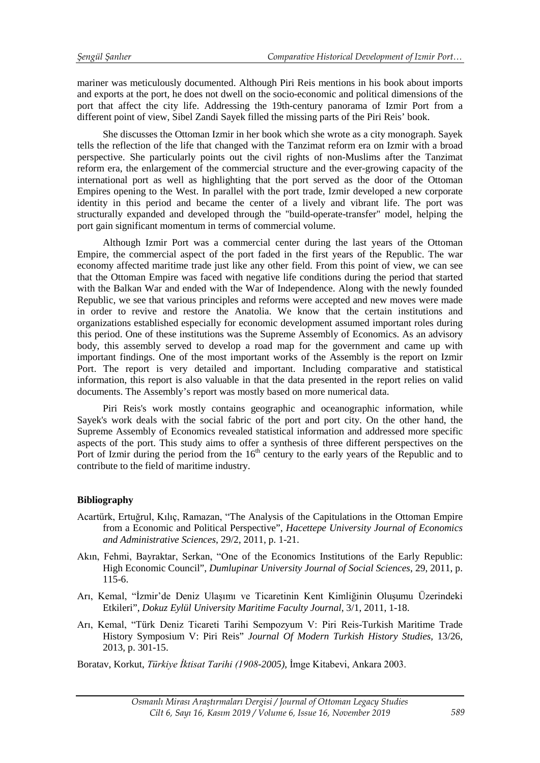mariner was meticulously documented. Although Piri Reis mentions in his book about imports and exports at the port, he does not dwell on the socio-economic and political dimensions of the port that affect the city life. Addressing the 19th-century panorama of Izmir Port from a different point of view, Sibel Zandi Sayek filled the missing parts of the Piri Reis' book.

She discusses the Ottoman Izmir in her book which she wrote as a city monograph. Sayek tells the reflection of the life that changed with the Tanzimat reform era on Izmir with a broad perspective. She particularly points out the civil rights of non-Muslims after the Tanzimat reform era, the enlargement of the commercial structure and the ever-growing capacity of the international port as well as highlighting that the port served as the door of the Ottoman Empires opening to the West. In parallel with the port trade, Izmir developed a new corporate identity in this period and became the center of a lively and vibrant life. The port was structurally expanded and developed through the "build-operate-transfer" model, helping the port gain significant momentum in terms of commercial volume.

Although Izmir Port was a commercial center during the last years of the Ottoman Empire, the commercial aspect of the port faded in the first years of the Republic. The war economy affected maritime trade just like any other field. From this point of view, we can see that the Ottoman Empire was faced with negative life conditions during the period that started with the Balkan War and ended with the War of Independence. Along with the newly founded Republic, we see that various principles and reforms were accepted and new moves were made in order to revive and restore the Anatolia. We know that the certain institutions and organizations established especially for economic development assumed important roles during this period. One of these institutions was the Supreme Assembly of Economics. As an advisory body, this assembly served to develop a road map for the government and came up with important findings. One of the most important works of the Assembly is the report on Izmir Port. The report is very detailed and important. Including comparative and statistical information, this report is also valuable in that the data presented in the report relies on valid documents. The Assembly's report was mostly based on more numerical data.

Piri Reis's work mostly contains geographic and oceanographic information, while Sayek's work deals with the social fabric of the port and port city. On the other hand, the Supreme Assembly of Economics revealed statistical information and addressed more specific aspects of the port. This study aims to offer a synthesis of three different perspectives on the Port of Izmir during the period from the  $16<sup>th</sup>$  century to the early years of the Republic and to contribute to the field of maritime industry.

# **Bibliography**

- Acartürk, Ertuğrul, Kılıç, Ramazan, "The Analysis of the Capitulations in the Ottoman Empire from a Economic and Political Perspective", *Hacettepe University Journal of Economics and Administrative Sciences*, 29/2, 2011, p. 1-21.
- Akın, Fehmi, Bayraktar, Serkan, "One of the Economics Institutions of the Early Republic: High Economic Council", *Dumlupinar University Journal of Social Sciences*, 29, 2011, p. 115-6.
- Arı, Kemal, "İzmir'de Deniz Ulaşımı ve Ticaretinin Kent Kimliğinin Oluşumu Üzerindeki Etkileri", *Dokuz Eylül University Maritime Faculty Journal*, 3/1, 2011, 1-18.
- Arı, Kemal, "Türk Deniz Ticareti Tarihi Sempozyum V: Piri Reis-Turkish Maritime Trade History Symposium V: Piri Reis" *Journal Of Modern Turkish History Studies,* 13/26, 2013, p. 301-15.

Boratav, Korkut, *Türkiye İktisat Tarihi (1908-2005)*, İmge Kitabevi, Ankara 2003.